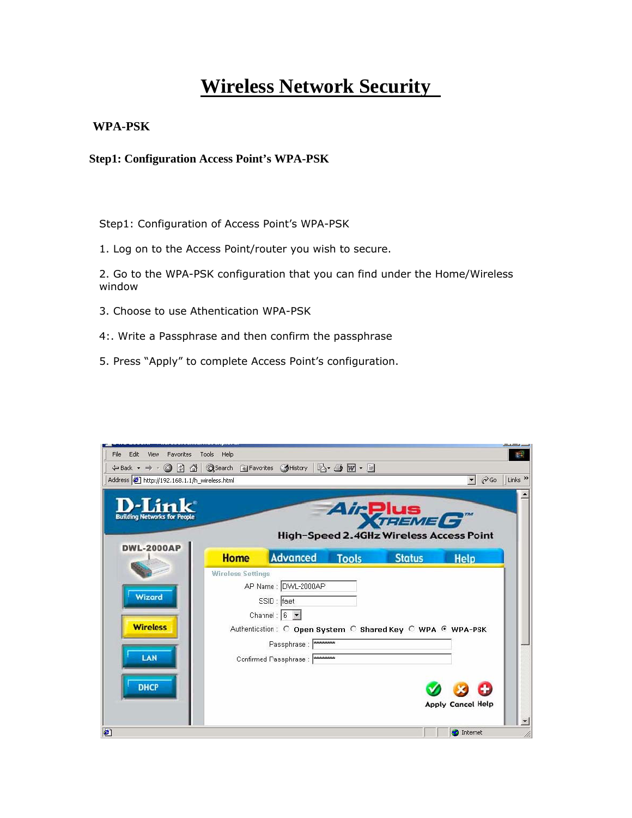## **Wireless Network Security**

## **WPA-PSK**

## **Step1: Configuration Access Point's WPA-PSK**

Step1: Configuration of Access Point's WPA-PSK

1. Log on to the Access Point/router you wish to secure.

2. Go to the WPA-PSK configuration that you can find under the Home/Wireless window

- 3. Choose to use Athentication WPA-PSK
- 4:. Write a Passphrase and then confirm the passphrase
- 5. Press "Apply" to complete Access Point's configuration.

| Edit<br>Favorites Tools<br>File<br>View<br>←Back ▼ → ・ ◎ 図 △   ◎Search 图Favorites ③History   邑 • 圖 ■ • 目 | Help                     |                                                                                                                                                                   |              |                                                            |                                               |                           |
|----------------------------------------------------------------------------------------------------------|--------------------------|-------------------------------------------------------------------------------------------------------------------------------------------------------------------|--------------|------------------------------------------------------------|-----------------------------------------------|---------------------------|
| Address 1 http://192.168.1.1/h_wireless.html                                                             |                          |                                                                                                                                                                   |              |                                                            | $\alpha$                                      | Links <sup>&gt;&gt;</sup> |
| D-Link<br><b>Building Networks for People</b>                                                            |                          |                                                                                                                                                                   |              | Air <b>Plus</b><br>High-Speed 2.4GHz Wireless Access Point |                                               |                           |
| <b>DWL-2000AP</b>                                                                                        | <b>Home</b>              | Advanced                                                                                                                                                          | <b>Tools</b> | <b>Status</b>                                              | <b>Help</b>                                   |                           |
| Wizard<br><b>Wireless</b><br>LAN                                                                         | <b>Wireless Settings</b> | AP Name : DWL-2000AP<br>SSID : faet<br>Channel: $6 - $<br>Authentication: C Open System C Shared Key C WPA G WPA-PSK<br>Passphrase:<br>Confirmed Passphrase: www. |              |                                                            |                                               |                           |
| <b>DHCP</b><br>香                                                                                         |                          |                                                                                                                                                                   |              |                                                            | <b>Apply Cancel Help</b><br><b>O</b> Internet |                           |